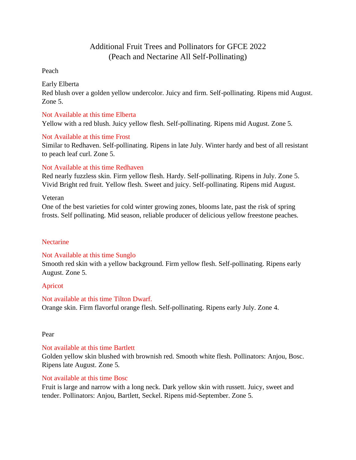# Additional Fruit Trees and Pollinators for GFCE 2022 (Peach and Nectarine All Self-Pollinating)

#### Peach

# Early Elberta

Red blush over a golden yellow undercolor. Juicy and firm. Self-pollinating. Ripens mid August. Zone 5.

### Not Available at this time Elberta

Yellow with a red blush. Juicy yellow flesh. Self-pollinating. Ripens mid August. Zone 5.

#### Not Available at this time Frost

Similar to Redhaven. Self-pollinating. Ripens in late July. Winter hardy and best of all resistant to peach leaf curl. Zone 5.

# Not Available at this time Redhaven

Red nearly fuzzless skin. Firm yellow flesh. Hardy. Self-pollinating. Ripens in July. Zone 5. Vivid Bright red fruit. Yellow flesh. Sweet and juicy. Self-pollinating. Ripens mid August.

#### Veteran

One of the best varieties for cold winter growing zones, blooms late, past the risk of spring frosts. Self pollinating. Mid season, reliable producer of delicious yellow freestone peaches.

#### **Nectarine**

# Not Available at this time Sunglo

Smooth red skin with a yellow background. Firm yellow flesh. Self-pollinating. Ripens early August. Zone 5.

# Apricot

# Not available at this time Tilton Dwarf.

Orange skin. Firm flavorful orange flesh. Self-pollinating. Ripens early July. Zone 4.

#### Pear

# Not available at this time Bartlett

Golden yellow skin blushed with brownish red. Smooth white flesh. Pollinators: Anjou, Bosc. Ripens late August. Zone 5.

# Not available at this time Bosc

Fruit is large and narrow with a long neck. Dark yellow skin with russett. Juicy, sweet and tender. Pollinators: Anjou, Bartlett, Seckel. Ripens mid-September. Zone 5.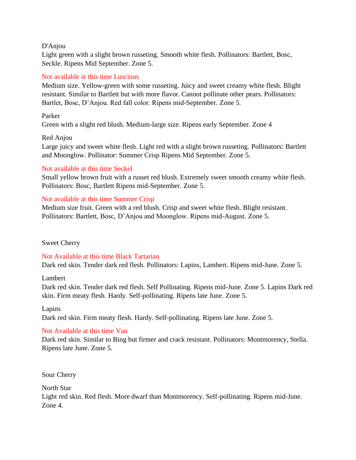D'Anjou

Light green with a slight brown russeting. Smooth white flesh. Pollinators: Bartlett, Bosc, Seckle. Ripens Mid September. Zone 5.

### Not available at this time Luscious

Medium size. Yellow-green with some russeting. Juicy and sweet creamy white flesh. Blight resistant. Similar to Bartlett but with more flavor. Cannot pollinate other pears. Pollinators: Bartlet, Bosc, D'Anjou. Red fall color. Ripens mid-September. Zone 5.

#### Parker

Green with a slight red blush. Medium-large size. Ripens early September. Zone 4

#### Red Anjou

Large juicy and sweet white flesh. Light red with a slight brown russeting. Pollinators: Bartlett and Moonglow. Pollinator: Summer Crisp Ripens Mid September. Zone 5.

#### Not available at this time Seckel

Small yellow brown fruit with a russet red blush. Extremely sweet smooth creamy white flesh. Pollinators: Bosc, Bartlett Ripens mid-September. Zone 5.

#### Not available at this time Summer Crisp

Medium size fruit. Green with a red blush. Crisp and sweet white flesh. Blight resistant. Pollinators: Bartlett, Bosc, D'Anjou and Moonglow. Ripens mid-August. Zone 5.

# Sweet Cherry

Not Available at this time Black Tartarian Dark red skin. Tender dark red flesh. Pollinators: Lapins, Lambert. Ripens mid-June. Zone 5.

#### Lambert

Dark red skin. Tender dark red flesh. Self Pollinating. Ripens mid-June. Zone 5. Lapins Dark red skin. Firm meaty flesh. Hardy. Self-pollinating. Ripens late June. Zone 5.

#### Lapins

Dark red skin. Firm meaty flesh. Hardy. Self-pollinating. Ripens late June. Zone 5.

# Not Available at this time Van

Dark red skin. Similar to Bing but firmer and crack resistant. Pollinators: Montmorency, Stella. Ripens late June. Zone 5.

Sour Cherry

North Star

Light red skin. Red flesh. More dwarf than Montmorency. Self-pollinating. Ripens mid-June. Zone 4.